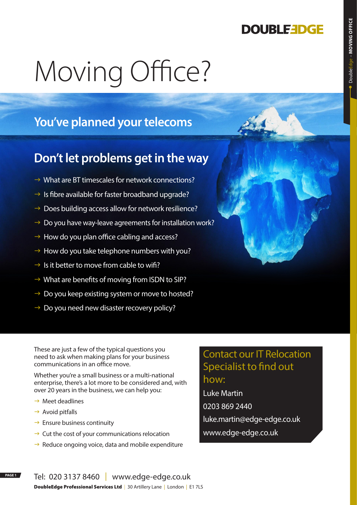## **DOUBLEEDGE**

# Moving Office?

## **You've planned your telecoms**

### **Don't let problems get in the way**

- $\rightarrow$  What are BT timescales for network connections?
- $\rightarrow$  Is fibre available for faster broadband upgrade?
- $\rightarrow$  Does building access allow for network resilience?
- $\rightarrow$  Do you have way-leave agreements for installation work?
- $\rightarrow$  How do you plan office cabling and access?
- $\rightarrow$  How do you take telephone numbers with you?
- $\rightarrow$  Is it better to move from cable to wifi?
- $\rightarrow$  What are benefits of moving from ISDN to SIP?
- $\rightarrow$  Do you keep existing system or move to hosted?
- $\rightarrow$  Do you need new disaster recovery policy?

These are just a few of the typical questions you need to ask when making plans for your business communications in an office move.

Whether you're a small business or a multi-national enterprise, there's a lot more to be considered and, with over 20 years in the business, we can help you:

- $\rightarrow$  Meet deadlines
- $\rightarrow$  Avoid pitfalls
- $\rightarrow$  Ensure business continuity
- $\rightarrow$  Cut the cost of your communications relocation
- $\rightarrow$  Reduce ongoing voice, data and mobile expenditure

### Contact our IT Relocation Specialist to fnd out how:

Luke Martin 0203 869 2440 luke.martin@edge-edge.co.uk www.edge-edge.co.uk